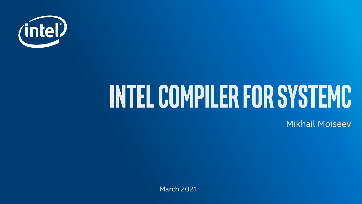

# **INTEL COMPILER FOR SYSTEMC**

Mikhail Moiseev

March 2021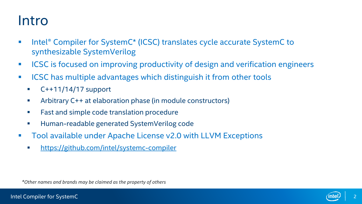#### Intro

- Intel<sup>®</sup> Compiler for SystemC<sup>\*</sup> (ICSC) translates cycle accurate SystemC to synthesizable SystemVerilog
- ICSC is focused on improving productivity of design and verification engineers
- ICSC has multiple advantages which distinguish it from other tools
	- $\blacksquare$  C++11/14/17 support
	- Arbitrary C++ at elaboration phase (in module constructors)
	- Fast and simple code translation procedure
	- Human-readable generated SystemVerilog code
- Tool available under Apache License v2.0 with LLVM Exceptions
	- **Intransact in the <https://github.com/intel/systemc-compiler>**

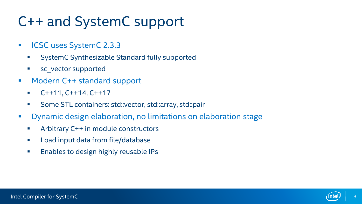# C++ and SystemC support

- **E** ICSC uses SystemC 2.3.3
	- SystemC Synthesizable Standard fully supported
	- sc\_vector supported
- Modern C++ standard support
	- $\blacksquare$  C++11, C++14, C++17
	- Some STL containers: std::vector, std::array, std::pair
- Dynamic design elaboration, no limitations on elaboration stage
	- Arbitrary C++ in module constructors
	- Load input data from file/database
	- Enables to design highly reusable IPs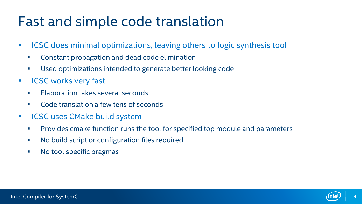### Fast and simple code translation

- ICSC does minimal optimizations, leaving others to logic synthesis tool
	- Constant propagation and dead code elimination
	- Used optimizations intended to generate better looking code
- **EXECUTE:** ICSC works very fast
	- **EXA** Elaboration takes several seconds
	- Code translation a few tens of seconds
- ICSC uses CMake build system
	- **•** Provides cmake function runs the tool for specified top module and parameters
	- No build script or configuration files required
	- No tool specific pragmas

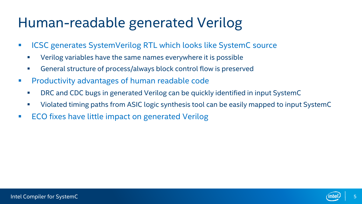# Human-readable generated Verilog

- ICSC generates SystemVerilog RTL which looks like SystemC source
	- Verilog variables have the same names everywhere it is possible
	- General structure of process/always block control flow is preserved
- Productivity advantages of human readable code
	- DRC and CDC bugs in generated Verilog can be quickly identified in input SystemC
	- Violated timing paths from ASIC logic synthesis tool can be easily mapped to input SystemC
- ECO fixes have little impact on generated Verilog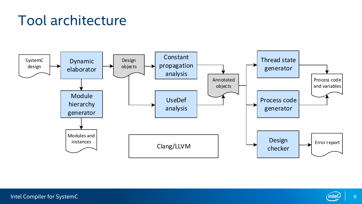# Tool architecture



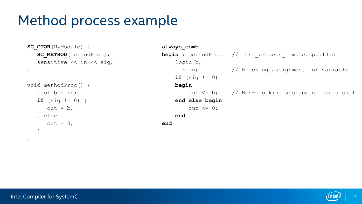# Method process example

```
SC_CTOR(MyModule) {
   SC_METHOD(methodProc);
   sensitive << in << sig;
}
void methodProc() {
  bool b = in;if (sig != 0) { 
    out = b;} else {
      out = 0:
   }
}
```

```
always_comb
   logic b;
    if (sig != 0)
   begin
    end else begin
        out \leq 0;end
```
**begin** : methodProc // test process simple.cpp:13:5

 $b = in;$  // Blocking assignment for variable

out  $\leq b$ ; // Non-blocking assignment for signal

**end**



7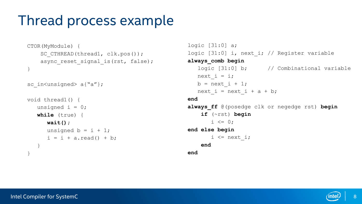# Thread process example

```
CTOR(MyModule) {
    SC CTHREAD(thread1, clk.pos());
    async reset signal is(rst, false);
}
```

```
sc in<unsigned> a{"a"};
```

```
void thread1() {
   unsigned i = 0;
   while (true) {
      wait();
      unsigned b = i + 1;
      i = i + a.read() + b;}
}
```

```
logic [31:0] a; 
logic [31:0] i, next i; // Register variable
always_comb begin
  logic [31:0] b; // Combinational variable
  next i = i;b = next i + 1;next i = next i + a + b;
end
always_ff @(posedge clk or negedge rst) begin
   if (~rst) begin
       i \leq 0:
end else begin
```

```
i \le next i;
end
```
**end**

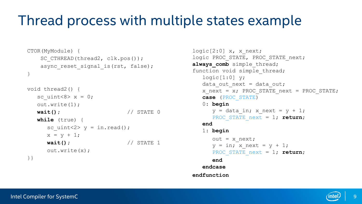## Thread process with multiple states example

```
CTOR(MyModule) {
   SC CTHREAD(thread2, clk.pos());
   async reset signal is(rst, false);
}
void thread2() {
  sc uint<8> x = 0;
  out.write(1); 
  wait(); // STATE 0
  while (true) {
     sc uint<2> y = in.read();
     x = y + 1;wait(); // STATE 1
     out.write(x); 
}}
```

```
logic[2:0] x, x next;
logic PROC STATE, PROC STATE next;
always comb simple thread;
function void simple thread;
   loqic[1:0] y;
   data out next = data out;
   x next = x; PROC STATE next = PROC STATE;
   case (PROC_STATE)
   0: begin
      y = data in; x next = y + 1;PROC STATE next = 1; return;
   end
   1: begin
      out = x next;
      y = in; x next = y + 1;
      PROC STATE next = 1; return;
      end
   endcase
endfunction
```
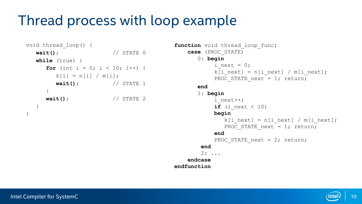# Thread process with loop example

```
void thread_loop() {
  wait(); // STATE 0
  while (true) {
     for (int i = 0; i < 10; i++) {
       k[i] = n[i] / m[i];wait(); // STATE 1
     }
    wait(); // STATE 2
  }
}
```

```
function void thread loop func;
    case (PROC_STATE)
       0: begin
            i next = 0;k[i next] = n[i next] / m[i next];
            PROC STATE next = 1; return;
       end
       1: begin
            i next++;
            if (i_next < 10)
            begin
               k[i next] = n[i next] / m[i next];
               PROC STATE next = 1; return;
            end
            PROC STATE next = 2; return;
        end
        2: ...
    endcase
endfunction
```
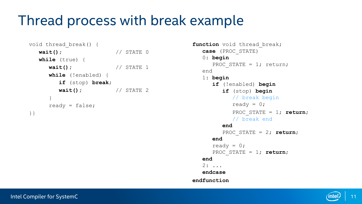# Thread process with break example

```
void thread_break() {
  wait(); // STATE 0
  while (true) {
    wait(); // STATE 1
    while (!enabled) {
       if (stop) break;
       wait(); // STATE 2
     }
    ready = false;
}}
```

```
function void thread break;
   case (PROC_STATE)
   0: begin
      PROC STATE = 1; return;
  end
  1: begin
      if (!enabled) begin
         if (stop) begin
           // break begin
            ready = 0;
            PROC_STATE = 1; return;
            // break end
         end
         PROC_STATE = 2; return;
      end
      ready = 0;
      PROC_STATE = 1; return;
   end
   2: ...
   endcase
endfunction
```
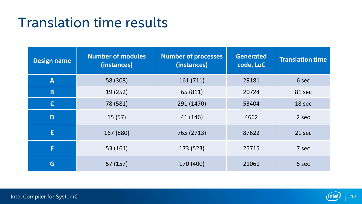#### Translation time results

| <b>Design name</b> | <b>Number of modules</b><br>(instances) | <b>Number of processes</b><br>(instances) | <b>Generated</b><br>code, LoC | <b>Translation time</b> |
|--------------------|-----------------------------------------|-------------------------------------------|-------------------------------|-------------------------|
| $\mathbf{A}$       | 58 (308)                                | 161(711)                                  | 29181                         | 6 sec                   |
| B                  | 19 (252)                                | 65 (811)                                  | 20724                         | 81 sec                  |
| $\mathsf{C}$       | 78 (581)                                | 291 (1470)                                | 53404                         | 18 sec                  |
| D                  | 15(57)                                  | 41 (146)                                  | 4662                          | 2 sec                   |
| E.                 | 167 (880)                               | 765 (2713)                                | 87622                         | 21 sec                  |
| F                  | 53 (161)                                | 173 (523)                                 | 25715                         | 7 sec                   |
| G                  | 57 (157)                                | 170 (400)                                 | 21061                         | 5 sec                   |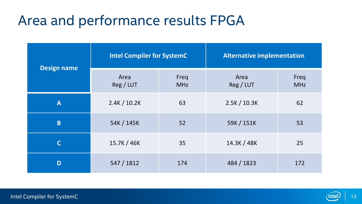### Area and performance results FPGA

|                    | <b>Intel Compiler for SystemC</b> |                    | <b>Alternative implementation</b> |                    |
|--------------------|-----------------------------------|--------------------|-----------------------------------|--------------------|
| <b>Design name</b> | Area<br>Reg / LUT                 | Freq<br><b>MHz</b> | Area<br>Reg / LUT                 | Freq<br><b>MHz</b> |
| $\mathbf{A}$       | 2.4K / 10.2K                      | 63                 | 2.5K / 10.3K                      | 62                 |
| B                  | 54K / 145K                        | 52                 | 59K / 151K                        | 53                 |
|                    | 15.7K / 46K                       | 35                 | 14.3K / 48K                       | 25                 |
| D                  | 547 / 1812                        | 174                | 484 / 1823                        | 172                |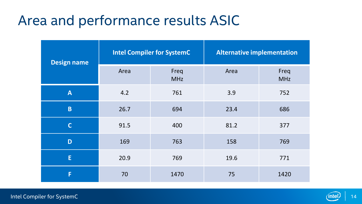### Area and performance results ASIC

| <b>Design name</b> | <b>Intel Compiler for SystemC</b> |                    | <b>Alternative implementation</b> |                    |
|--------------------|-----------------------------------|--------------------|-----------------------------------|--------------------|
|                    | Area                              | Freq<br><b>MHz</b> | Area                              | Freq<br><b>MHz</b> |
| $\mathbf{A}$       | 4.2                               | 761                | 3.9                               | 752                |
| $\overline{B}$     | 26.7                              | 694                | 23.4                              | 686                |
| $\mathsf{C}$       | 91.5                              | 400                | 81.2                              | 377                |
| D                  | 169                               | 763                | 158                               | 769                |
| E                  | 20.9                              | 769                | 19.6                              | 771                |
| F                  | 70                                | 1470               | 75                                | 1420               |

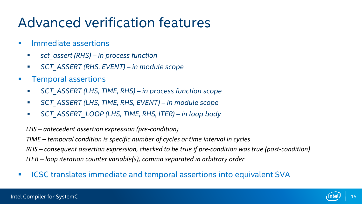# Advanced verification features

- **·** Immediate assertions
	- *sct\_assert (RHS) in process function*
	- *SCT\_ASSERT (RHS, EVENT) – in module scope*
- **EXECUTE:** Temporal assertions
	- *SCT\_ASSERT (LHS, TIME, RHS) – in process function scope*
	- *SCT\_ASSERT (LHS, TIME, RHS, EVENT) – in module scope*
	- *SCT\_ASSERT\_LOOP (LHS, TIME, RHS, ITER) – in loop body*

*LHS – antecedent assertion expression (pre-condition)*

*TIME – temporal condition is specific number of cycles or time interval in cycles*

*RHS – consequent assertion expression, checked to be true if pre-condition was true (post-condition)* 

*ITER – loop iteration counter variable(s), comma separated in arbitrary order*

■ ICSC translates immediate and temporal assertions into equivalent SVA

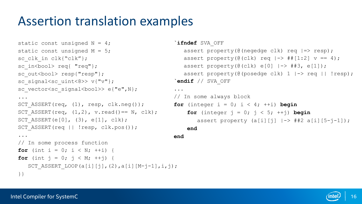#### Assertion translation examples

```
static const unsigned N = 4;
static const unsigned M = 5;
sc_clk_in clk{"clk"};
sc_in<bool> req{ "req"};
sc_out<bool> resp{"resp"};
sc_signal<sc_uint<8>> v{"v"};
sc_vector<sc_signal<br/>kool>> e{"e",N};
...
SCT ASSERT(req, (1), resp, clk.neg());
SCT ASSERT(req, (1,2), v.read()== N, clk);
SCT ASSERT(e[0], (3), e[1], clk);
```

```
SCT ASSERT(req || !resp, clk.pos());
```

```
...
// In some process function
for (int i = 0; i < N; ++i) {
for (int j = 0; j < M; ++j) {
   SCT ASSERT LOOP(a[i][j],(2),a[i][M-j-1],i,j);
}}
```

```
`ifndef SVA_OFF
    assert property(\theta(negedge clk) reg \Rightarrow resp);
    assert property(\mathcal{C}(\text{clk}) req |\rightarrow ##[1:2] v == 4);
   assert property(\mathcal{C}(\text{clk}) e[0] \rightarrow ##3, e[1]);
   assert property(@(posedge clk) 1 \rightarrow req || !resp);
`endif // SVA_OFF
```

```
...
// In some always block
for (integer i = 0; i < 4; +i) begin
   for (integer j = 0; j < 5; ++j) begin
       assert property (a[i][j] |-> ##2 a[i][5-j-1]);
```

```
end
```
#### **end**

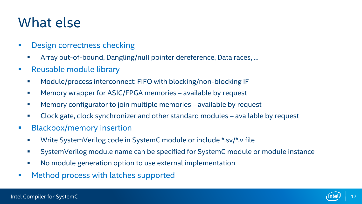#### What else

- Design correctness checking
	- Array out-of-bound, Dangling/null pointer dereference, Data races, ...
- Reusable module library
	- Module/process interconnect: FIFO with blocking/non-blocking IF
	- Memory wrapper for ASIC/FPGA memories available by request
	- Memory configurator to join multiple memories available by request
	- Clock gate, clock synchronizer and other standard modules available by request
- Blackbox/memory insertion
	- Write SystemVerilog code in SystemC module or include \*.sv/\*.v file
	- SystemVerilog module name can be specified for SystemC module or module instance
	- No module generation option to use external implementation
- Method process with latches supported

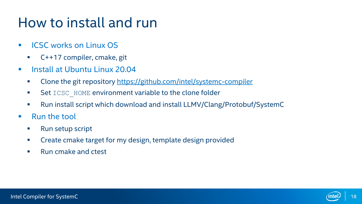### How to install and run

- **E** ICSC works on Linux OS
	- C++17 compiler, cmake, git
- Install at Ubuntu Linux 20.04
	- **EXECT** Clone the git repository<https://github.com/intel/systemc-compiler>
	- **EXECC** HOME environment variable to the clone folder
	- Run install script which download and install LLMV/Clang/Protobuf/SystemC
- Run the tool
	- Run setup script
	- Create cmake target for my design, template design provided
	- Run cmake and ctest

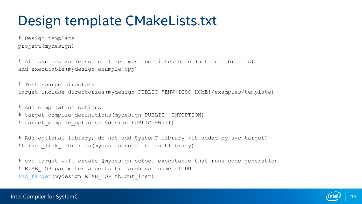# Design template CMakeLists.txt

# Design template project(mydesign)

# All synthesizable source files must be listed here (not in libraries) add\_executable(mydesign example.cpp)

# Test source directory target include directories(mydesign PUBLIC \$ENV{ICSC HOME}/examples/template)

# Add compilation options # target compile definitions(mydesign PUBLIC -DMYOPTION) # target compile options(mydesign PUBLIC -Wall)

# Add optional library, do not add SystemC library (it added by svc\_target) #target\_link\_libraries(mydesign sometestbenchlibrary)

# svc target will create @mydesign sctool executable that runs code generation # ELAB\_TOP parameter accepts hierarchical name of DUT svc target(mydesign ELAB TOP tb.dut inst)

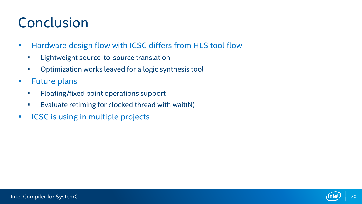# Conclusion

- **EXECT** Hardware design flow with ICSC differs from HLS tool flow
	- **■** Lightweight source-to-source translation
	- Optimization works leaved for a logic synthesis tool
- Future plans
	- Floating/fixed point operations support
	- Evaluate retiming for clocked thread with wait(N)
- ICSC is using in multiple projects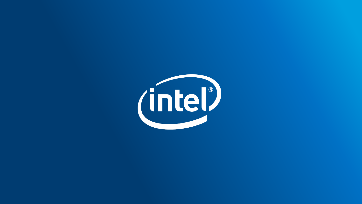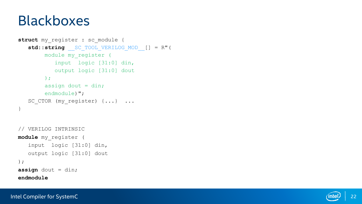#### **Blackboxes**

```
struct my_register : sc_module {
   std::string SC TOOL VERILOG MOD [] = R"(
       module my_register ( 
           input logic [31:0] din, 
          output logic [31:0] dout
        ); 
        assign dout = din;
        endmodule)"; 
  SC CTOR (my register) {...} ...
}
```

```
// VERILOG INTRINSIC
module my_register ( 
   input logic [31:0] din, 
   output logic [31:0] dout
);
assign dout = din;
endmodule
```
#### Intel Compiler for SystemC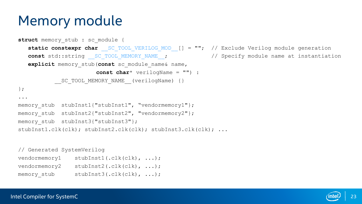# Memory module

```
struct memory stub : sc module {
   static constexpr char __SC_TOOL_VERILOG_MOD__[] = ""; // Exclude Verilog module generation 
   const std::string __SC_TOOL_MEMORY_NAME__; // Specify module name at instantiation 
   explicit memory_stub(const sc_module_name& name, 
                       const char* verilogName = "") : 
          SC_TOOL_MEMORY_NAME (verilogName) { }
};
...
memory stub stubInst1{"stubInst1", "vendormemory1"};
memory stub stubInst2{"stubInst2", "vendormemory2"};
memory stub stubInst3{"stubInst3"};
stubInst1.clk(clk); stubInst2.clk(clk); stubInst3.clk(clk); ...
```
// Generated SystemVerilog vendormemory1 stubInst1(.clk(clk), ...); vendormemory2 stubInst2(.clk(clk), ...); memory stub stubInst3(.clk(clk), ...);